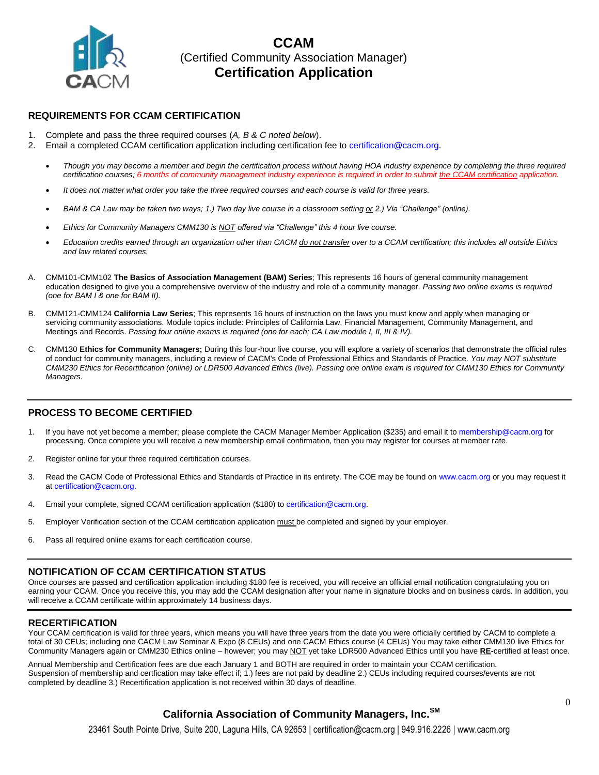

### **REQUIREMENTS FOR CCAM CERTIFICATION**

- 1. Complete and pass the three required courses (*A, B & C noted below*).
- 2. Email a completed CCAM certification application including certification fee to certification@cacm.org.
	- *Though you may become a member and begin the certification process without having HOA industry experience by completing the three required certification courses; 6 months of community management industry experience is required in order to submit the CCAM certification application.*
	- *It does not matter what order you take the three required courses and each course is valid for three years.*
	- *BAM & CA Law may be taken two ways; 1.) Two day live course in a classroom setting or 2.) Via "Challenge" (online).*
	- *Ethics for Community Managers CMM130 is NOT offered via "Challenge" this 4 hour live course.*
	- *Education credits earned through an organization other than CACM do not transfer over to a CCAM certification; this includes all outside Ethics and law related courses.*
- A. CMM101-CMM102 **The Basics of Association Management (BAM) Series**; This represents 16 hours of general community management education designed to give you a comprehensive overview of the industry and role of a community manager. *Passing two online exams is required (one for BAM I & one for BAM II).*
- B. CMM121-CMM124 **California Law Series**; This represents 16 hours of instruction on the laws you must know and apply when managing or servicing community associations. Module topics include: Principles of California Law, Financial Management, Community Management, and Meetings and Records. *Passing four online exams is required (one for each; CA Law module I, II, III & IV).*
- C. CMM130 **Ethics for Community Managers;** During this four-hour live course, you will explore a variety of scenarios that demonstrate the official rules of conduct for community managers, including a review of CACM's Code of Professional Ethics and Standards of Practice. *You may NOT substitute CMM230 Ethics for Recertification (online) or LDR500 Advanced Ethics (live). Passing one online exam is required for CMM130 Ethics for Community Managers.*

### **PROCESS TO BECOME CERTIFIED**

- 1. If you have not yet become a member; please complete the CACM Manager Member Application (\$235) and email it to membership@cacm.org for processing. Once complete you will receive a new membership email confirmation, then you may register for courses at member rate.
- 2. Register online for your three required certification courses.
- 3. Read the CACM Code of Professional Ethics and Standards of Practice in its entirety. The COE may be found on www.cacm.org or you may request it at certification@cacm.org.
- 4. Email your complete, signed CCAM certification application (\$180) to certification@cacm.org.
- 5. Employer Verification section of the CCAM certification application must be completed and signed by your employer.
- 6. Pass all required online exams for each certification course.

### **NOTIFICATION OF CCAM CERTIFICATION STATUS**

Once courses are passed and certification application including \$180 fee is received, you will receive an official email notification congratulating you on earning your CCAM. Once you receive this, you may add the CCAM designation after your name in signature blocks and on business cards. In addition, you will receive a CCAM certificate within approximately 14 business days.

### **RECERTIFICATION**

Your CCAM certification is valid for three years, which means you will have three years from the date you were officially certified by CACM to complete a total of 30 CEUs; including one CACM Law Seminar & Expo (8 CEUs) and one CACM Ethics course (4 CEUs) You may take either CMM130 live Ethics for Community Managers again or CMM230 Ethics online – however; you may NOT yet take LDR500 Advanced Ethics until you have **RE-**certified at least once.

Annual Membership and Certification fees are due each January 1 and BOTH are required in order to maintain your CCAM certification. Suspension of membership and certfication may take effect if; 1.) fees are not paid by deadline 2.) CEUs including required courses/events are not completed by deadline 3.) Recertification application is not received within 30 days of deadline.

### **California Association of Community Managers, Inc.SM**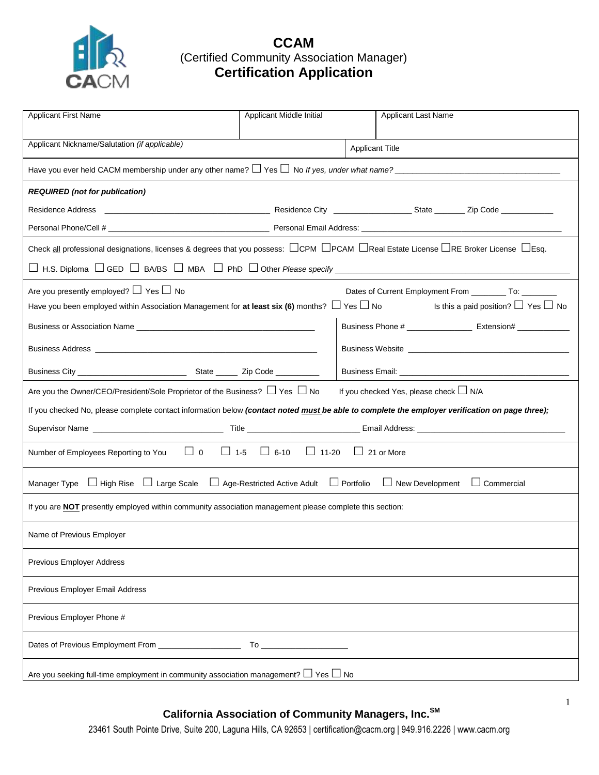

| <b>Applicant First Name</b>                                                                                                                                                     | Applicant Middle Initial | <b>Applicant Last Name</b>                                                                           |  |
|---------------------------------------------------------------------------------------------------------------------------------------------------------------------------------|--------------------------|------------------------------------------------------------------------------------------------------|--|
|                                                                                                                                                                                 |                          |                                                                                                      |  |
| Applicant Nickname/Salutation (if applicable)                                                                                                                                   |                          | <b>Applicant Title</b>                                                                               |  |
| Have you ever held CACM membership under any other name? $\Box$ Yes $\Box$ No <i>If yes, under what name?</i>                                                                   |                          |                                                                                                      |  |
| <b>REQUIRED</b> (not for publication)                                                                                                                                           |                          |                                                                                                      |  |
|                                                                                                                                                                                 |                          |                                                                                                      |  |
|                                                                                                                                                                                 |                          |                                                                                                      |  |
| Check all professional designations, licenses & degrees that you possess: $\square$ CPM $\square$ PCAM $\square$ Real Estate License $\square$ RE Broker License $\square$ Esg. |                          |                                                                                                      |  |
|                                                                                                                                                                                 |                          |                                                                                                      |  |
| Are you presently employed? $\Box$ Yes $\Box$ No                                                                                                                                |                          | Dates of Current Employment From ___________ To: __________                                          |  |
| Have you been employed within Association Management for at least six (6) months? $\Box$ Yes $\Box$ No                                                                          |                          | Is this a paid position? $\Box$ Yes $\Box$ No                                                        |  |
|                                                                                                                                                                                 |                          | Business Phone # _____________________ Extension# ______________                                     |  |
|                                                                                                                                                                                 |                          |                                                                                                      |  |
|                                                                                                                                                                                 |                          | Business Email: North and South American State and South American State and South American State and |  |
| Are you the Owner/CEO/President/Sole Proprietor of the Business? $\Box$ Yes $\Box$ No                                                                                           |                          | If you checked Yes, please check □ N/A                                                               |  |
| If you checked No, please complete contact information below (contact noted must be able to complete the employer verification on page three);                                  |                          |                                                                                                      |  |
|                                                                                                                                                                                 |                          |                                                                                                      |  |
| $\Box$ 0 $\Box$ 1-5 $\Box$ 6-10 $\Box$ 11-20 $\Box$ 21 or More<br>Number of Employees Reporting to You                                                                          |                          |                                                                                                      |  |
| Manager Type $\Box$ High Rise $\Box$ Large Scale $\Box$ Age-Restricted Active Adult $\Box$ Portfolio $\Box$ New Development<br>$\Box$ Commercial                                |                          |                                                                                                      |  |
| If you are NOT presently employed within community association management please complete this section:                                                                         |                          |                                                                                                      |  |
| Name of Previous Employer                                                                                                                                                       |                          |                                                                                                      |  |
| Previous Employer Address                                                                                                                                                       |                          |                                                                                                      |  |
| Previous Employer Email Address                                                                                                                                                 |                          |                                                                                                      |  |
| Previous Employer Phone #                                                                                                                                                       |                          |                                                                                                      |  |
|                                                                                                                                                                                 |                          |                                                                                                      |  |
| Are you seeking full-time employment in community association management? $\Box$ Yes $\Box$ No                                                                                  |                          |                                                                                                      |  |

## **California Association of Community Managers, Inc.SM**

23461 South Pointe Drive, Suite 200, Laguna Hills, CA 92653 | certification@cacm.org | 949.916.2226 | www.cacm.org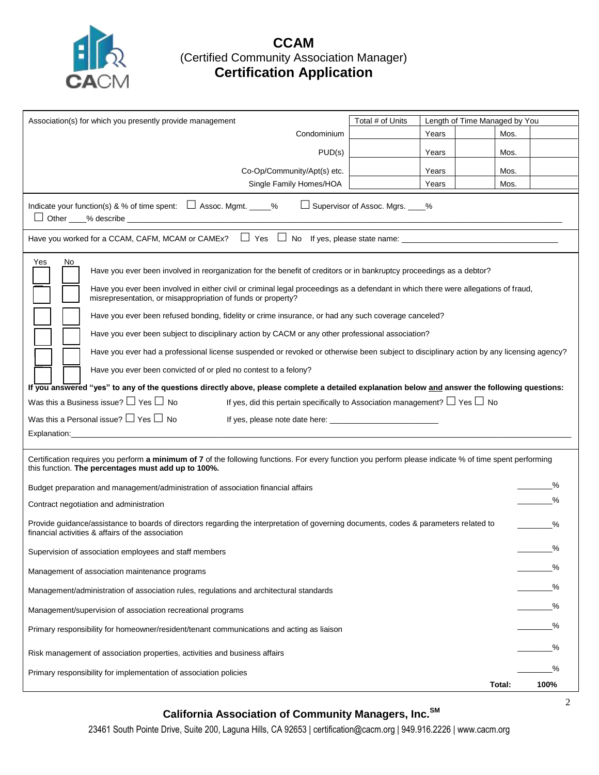

| Association(s) for which you presently provide management                                                                                                                                                                                                                                                                               | Total # of Units<br>Length of Time Managed by You                                                                                       |  |  |  |  |
|-----------------------------------------------------------------------------------------------------------------------------------------------------------------------------------------------------------------------------------------------------------------------------------------------------------------------------------------|-----------------------------------------------------------------------------------------------------------------------------------------|--|--|--|--|
|                                                                                                                                                                                                                                                                                                                                         | Condominium<br>Years<br>Mos.                                                                                                            |  |  |  |  |
|                                                                                                                                                                                                                                                                                                                                         | PUD(s)<br>Years<br>Mos.                                                                                                                 |  |  |  |  |
| Co-Op/Community/Apt(s) etc.                                                                                                                                                                                                                                                                                                             | Mos.<br>Years                                                                                                                           |  |  |  |  |
| Single Family Homes/HOA                                                                                                                                                                                                                                                                                                                 | Years<br>Mos.                                                                                                                           |  |  |  |  |
| Supervisor of Assoc. Mgrs. ____%<br>Indicate your function(s) & % of time spent: $\Box$ Assoc. Mgmt. _____%                                                                                                                                                                                                                             |                                                                                                                                         |  |  |  |  |
| Have you worked for a CCAM, CAFM, MCAM or CAMEx? $\Box$ Yes $\Box$ No If yes, please state name: $\Box$                                                                                                                                                                                                                                 |                                                                                                                                         |  |  |  |  |
| Yes<br>No<br>Have you ever been involved in reorganization for the benefit of creditors or in bankruptcy proceedings as a debtor?<br>Have you ever been involved in either civil or criminal legal proceedings as a defendant in which there were allegations of fraud,<br>misrepresentation, or misappropriation of funds or property? |                                                                                                                                         |  |  |  |  |
| Have you ever been refused bonding, fidelity or crime insurance, or had any such coverage canceled?                                                                                                                                                                                                                                     |                                                                                                                                         |  |  |  |  |
| Have you ever been subject to disciplinary action by CACM or any other professional association?                                                                                                                                                                                                                                        |                                                                                                                                         |  |  |  |  |
|                                                                                                                                                                                                                                                                                                                                         | Have you ever had a professional license suspended or revoked or otherwise been subject to disciplinary action by any licensing agency? |  |  |  |  |
| Have you ever been convicted of or pled no contest to a felony?                                                                                                                                                                                                                                                                         |                                                                                                                                         |  |  |  |  |
| If you answered "yes" to any of the questions directly above, please complete a detailed explanation below and answer the following questions:                                                                                                                                                                                          |                                                                                                                                         |  |  |  |  |
| Was this a Business issue? $\Box$ Yes $\Box$ No                                                                                                                                                                                                                                                                                         | If yes, did this pertain specifically to Association management? $\Box$ Yes $\Box$ No                                                   |  |  |  |  |
| Was this a Personal issue? $\Box$ Yes $\Box$ No                                                                                                                                                                                                                                                                                         |                                                                                                                                         |  |  |  |  |
|                                                                                                                                                                                                                                                                                                                                         |                                                                                                                                         |  |  |  |  |
| Certification requires you perform a minimum of 7 of the following functions. For every function you perform please indicate % of time spent performing<br>this function. The percentages must add up to 100%.                                                                                                                          |                                                                                                                                         |  |  |  |  |
| Budget preparation and management/administration of association financial affairs                                                                                                                                                                                                                                                       | ℅                                                                                                                                       |  |  |  |  |
| Contract negotiation and administration                                                                                                                                                                                                                                                                                                 |                                                                                                                                         |  |  |  |  |
| Provide guidance/assistance to boards of directors regarding the interpretation of governing documents, codes & parameters related to<br>financial activities & affairs of the association                                                                                                                                              |                                                                                                                                         |  |  |  |  |
| %<br>Supervision of association employees and staff members                                                                                                                                                                                                                                                                             |                                                                                                                                         |  |  |  |  |
| Management of association maintenance programs                                                                                                                                                                                                                                                                                          |                                                                                                                                         |  |  |  |  |
| Management/administration of association rules, regulations and architectural standards                                                                                                                                                                                                                                                 |                                                                                                                                         |  |  |  |  |
| Management/supervision of association recreational programs                                                                                                                                                                                                                                                                             |                                                                                                                                         |  |  |  |  |
| Primary responsibility for homeowner/resident/tenant communications and acting as liaison                                                                                                                                                                                                                                               |                                                                                                                                         |  |  |  |  |
| %<br>Risk management of association properties, activities and business affairs                                                                                                                                                                                                                                                         |                                                                                                                                         |  |  |  |  |
| %<br>Primary responsibility for implementation of association policies                                                                                                                                                                                                                                                                  |                                                                                                                                         |  |  |  |  |
|                                                                                                                                                                                                                                                                                                                                         | Total:<br>100%                                                                                                                          |  |  |  |  |

# **California Association of Community Managers, Inc.SM**

23461 South Pointe Drive, Suite 200, Laguna Hills, CA 92653 | certification@cacm.org | 949.916.2226 | www.cacm.org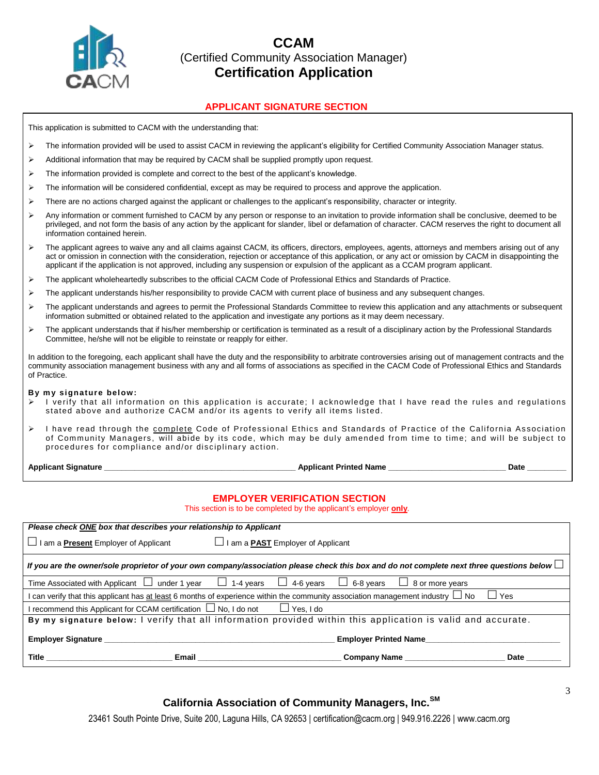

### **APPLICANT SIGNATURE SECTION**

This application is submitted to CACM with the understanding that:

- The information provided will be used to assist CACM in reviewing the applicant's eligibility for Certified Community Association Manager status.
- $\triangleright$  Additional information that may be required by CACM shall be supplied promptly upon request.
- $\triangleright$  The information provided is complete and correct to the best of the applicant's knowledge.
- $\triangleright$  The information will be considered confidential, except as may be required to process and approve the application.
- $\triangleright$  There are no actions charged against the applicant or challenges to the applicant's responsibility, character or integrity.
- Any information or comment furnished to CACM by any person or response to an invitation to provide information shall be conclusive, deemed to be privileged, and not form the basis of any action by the applicant for slander, libel or defamation of character. CACM reserves the right to document all information contained herein.
- ▶ The applicant agrees to waive any and all claims against CACM, its officers, directors, employees, agents, attorneys and members arising out of any act or omission in connection with the consideration, rejection or acceptance of this application, or any act or omission by CACM in disappointing the applicant if the application is not approved, including any suspension or expulsion of the applicant as a CCAM program applicant.
- The applicant wholeheartedly subscribes to the official CACM Code of Professional Ethics and Standards of Practice.
- $\triangleright$  The applicant understands his/her responsibility to provide CACM with current place of business and any subsequent changes.
- $\triangleright$  The applicant understands and agrees to permit the Professional Standards Committee to review this application and any attachments or subsequent information submitted or obtained related to the application and investigate any portions as it may deem necessary.
- $\triangleright$  The applicant understands that if his/her membership or certification is terminated as a result of a disciplinary action by the Professional Standards Committee, he/she will not be eligible to reinstate or reapply for either.

In addition to the foregoing, each applicant shall have the duty and the responsibility to arbitrate controversies arising out of management contracts and the community association management business with any and all forms of associations as specified in the CACM Code of Professional Ethics and Standards of Practice.

#### **B y m y signature below:**

- I verify that all information on this application is accurate; I acknowledge that I have read the rules and regulations stated above and authorize CACM and/or its agents to verify all items listed.
- $\triangleright$  I have read through the complete Code of Professional Ethics and Standards of Practice of the California Association of Community Managers, will abide by its code, which may be duly amended from time to time; and will be subject to procedures for compliance and/or disciplinary action.

**Applicant Signature \_\_\_\_\_\_\_\_\_\_\_\_\_\_\_\_\_\_\_\_\_\_\_\_\_\_\_\_\_\_\_\_\_\_\_\_\_\_\_\_\_\_\_\_ Applicant Printed Name \_\_\_\_\_\_\_\_\_\_\_\_\_\_\_\_\_\_\_\_\_\_\_\_\_\_\_ Date \_\_\_\_\_\_\_\_\_**

### **EMPLOYER VERIFICATION SECTION**

This section is to be completed by the applicant's employer **only**.

| Title<br>Email                                                                                                                                   | Company Name                                                   | Date |  |
|--------------------------------------------------------------------------------------------------------------------------------------------------|----------------------------------------------------------------|------|--|
| <b>Employer Signature</b>                                                                                                                        | <b>Employer Printed Name</b>                                   |      |  |
| By my signature below: I verify that all information provided within this application is valid and accurate.                                     |                                                                |      |  |
| recommend this Applicant for CCAM certification $\Box$ No, I do not                                                                              | $\Box$ Yes. I do                                               |      |  |
| can verify that this applicant has at least 6 months of experience within the community association management industry $\Box$ No<br>⊿ Yes       |                                                                |      |  |
| Time Associated with Applicant $\Box$ under 1 year $\Box$ 1-4 years                                                                              | $\Box$ 4-6 years<br>$\Box$ 6-8 years<br>$\Box$ 8 or more years |      |  |
| If you are the owner/sole proprietor of your own company/association please check this box and do not complete next three questions below $\Box$ |                                                                |      |  |
| I am a <b>Present</b> Employer of Applicant                                                                                                      | $\Box$ I am a <b>PAST</b> Employer of Applicant                |      |  |
| Please check ONE box that describes your relationship to Applicant                                                                               |                                                                |      |  |

### **California Association of Community Managers, Inc.SM**

23461 South Pointe Drive, Suite 200, Laguna Hills, CA 92653 | certification@cacm.org | 949.916.2226 | www.cacm.org